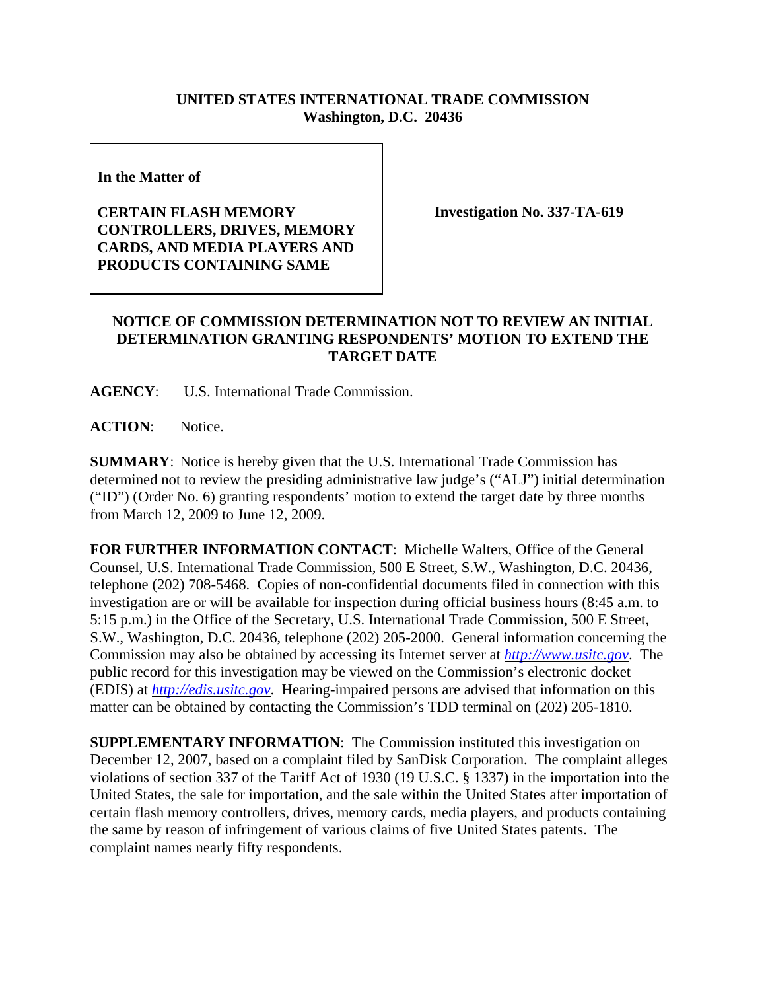## **UNITED STATES INTERNATIONAL TRADE COMMISSION Washington, D.C. 20436**

**In the Matter of** 

## **CERTAIN FLASH MEMORY CONTROLLERS, DRIVES, MEMORY CARDS, AND MEDIA PLAYERS AND PRODUCTS CONTAINING SAME**

**Investigation No. 337-TA-619**

## **NOTICE OF COMMISSION DETERMINATION NOT TO REVIEW AN INITIAL DETERMINATION GRANTING RESPONDENTS' MOTION TO EXTEND THE TARGET DATE**

**AGENCY**: U.S. International Trade Commission.

**ACTION**: Notice.

**SUMMARY**: Notice is hereby given that the U.S. International Trade Commission has determined not to review the presiding administrative law judge's ("ALJ") initial determination ("ID") (Order No. 6) granting respondents' motion to extend the target date by three months from March 12, 2009 to June 12, 2009.

**FOR FURTHER INFORMATION CONTACT**: Michelle Walters, Office of the General Counsel, U.S. International Trade Commission, 500 E Street, S.W., Washington, D.C. 20436, telephone (202) 708-5468. Copies of non-confidential documents filed in connection with this investigation are or will be available for inspection during official business hours (8:45 a.m. to 5:15 p.m.) in the Office of the Secretary, U.S. International Trade Commission, 500 E Street, S.W., Washington, D.C. 20436, telephone (202) 205-2000. General information concerning the Commission may also be obtained by accessing its Internet server at *http://www.usitc.gov*. The public record for this investigation may be viewed on the Commission's electronic docket (EDIS) at *http://edis.usitc.gov*. Hearing-impaired persons are advised that information on this matter can be obtained by contacting the Commission's TDD terminal on (202) 205-1810.

**SUPPLEMENTARY INFORMATION:** The Commission instituted this investigation on December 12, 2007, based on a complaint filed by SanDisk Corporation. The complaint alleges violations of section 337 of the Tariff Act of 1930 (19 U.S.C. § 1337) in the importation into the United States, the sale for importation, and the sale within the United States after importation of certain flash memory controllers, drives, memory cards, media players, and products containing the same by reason of infringement of various claims of five United States patents. The complaint names nearly fifty respondents.